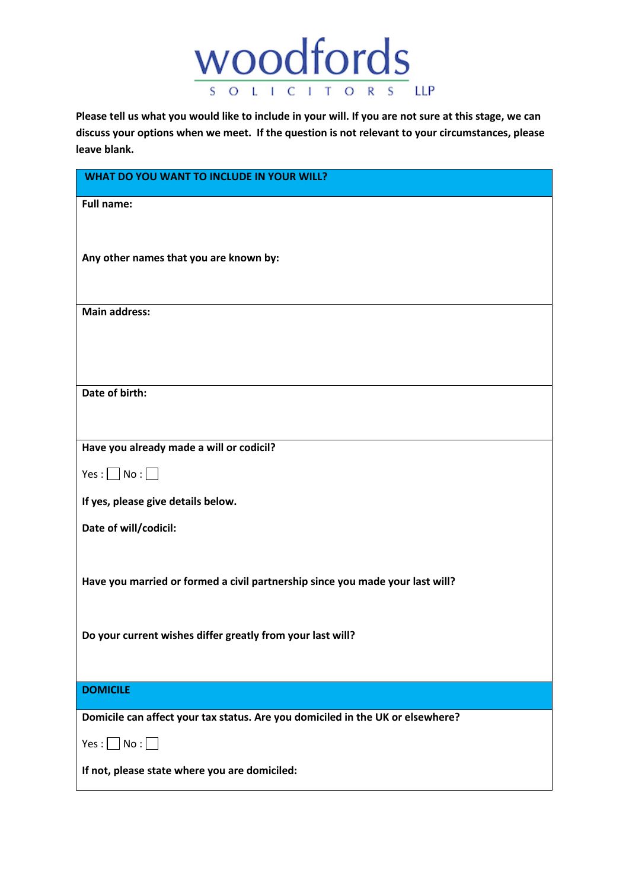

**Please tell us what you would like to include in your will. If you are not sure at this stage, we can discuss your options when we meet. If the question is not relevant to your circumstances, please leave blank.**

| WHAT DO YOU WANT TO INCLUDE IN YOUR WILL?                                      |
|--------------------------------------------------------------------------------|
| <b>Full name:</b>                                                              |
|                                                                                |
| Any other names that you are known by:                                         |
|                                                                                |
| <b>Main address:</b>                                                           |
|                                                                                |
|                                                                                |
| Date of birth:                                                                 |
|                                                                                |
| Have you already made a will or codicil?                                       |
| Yes : $\Box$ No : $\Box$                                                       |
| If yes, please give details below.                                             |
| Date of will/codicil:                                                          |
|                                                                                |
| Have you married or formed a civil partnership since you made your last will?  |
|                                                                                |
| Do your current wishes differ greatly from your last will?                     |
|                                                                                |
| <b>DOMICILE</b>                                                                |
| Domicile can affect your tax status. Are you domiciled in the UK or elsewhere? |
| $Yes : \Box No : \Box$                                                         |
| If not, please state where you are domiciled:                                  |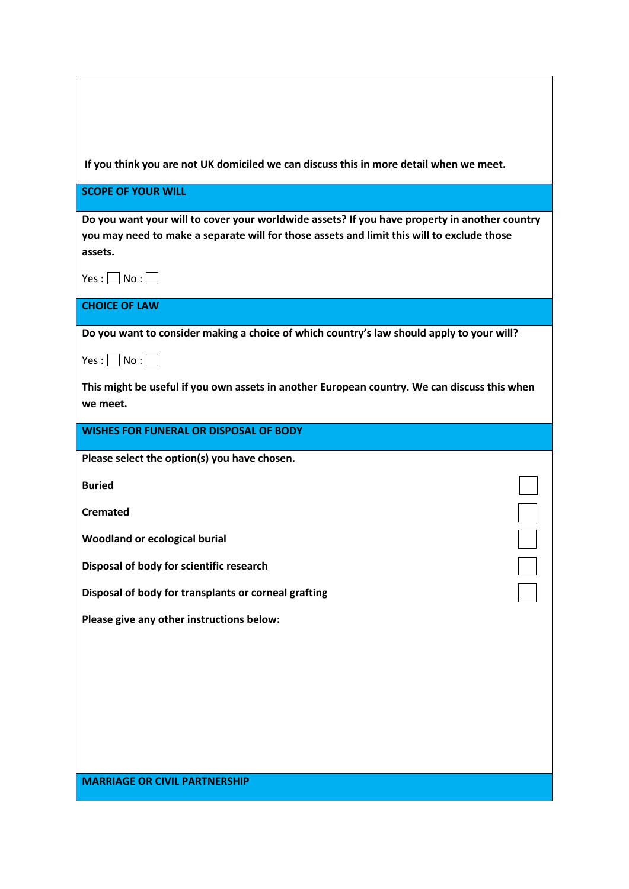| If you think you are not UK domiciled we can discuss this in more detail when we meet.                                                                                                                 |
|--------------------------------------------------------------------------------------------------------------------------------------------------------------------------------------------------------|
| <b>SCOPE OF YOUR WILL</b>                                                                                                                                                                              |
| Do you want your will to cover your worldwide assets? If you have property in another country<br>you may need to make a separate will for those assets and limit this will to exclude those<br>assets. |
| $Yes: \Box No: \Box$                                                                                                                                                                                   |
| <b>CHOICE OF LAW</b>                                                                                                                                                                                   |
| Do you want to consider making a choice of which country's law should apply to your will?                                                                                                              |
| $Yes: \Box No: \Box$                                                                                                                                                                                   |
| This might be useful if you own assets in another European country. We can discuss this when<br>we meet.                                                                                               |
| <b>WISHES FOR FUNERAL OR DISPOSAL OF BODY</b>                                                                                                                                                          |
| Please select the option(s) you have chosen.                                                                                                                                                           |
| <b>Buried</b>                                                                                                                                                                                          |
| <b>Cremated</b>                                                                                                                                                                                        |
| <b>Woodland or ecological burial</b>                                                                                                                                                                   |
| Disposal of body for scientific research                                                                                                                                                               |
| Disposal of body for transplants or corneal grafting                                                                                                                                                   |
| Please give any other instructions below:                                                                                                                                                              |
|                                                                                                                                                                                                        |
|                                                                                                                                                                                                        |
|                                                                                                                                                                                                        |
|                                                                                                                                                                                                        |
|                                                                                                                                                                                                        |
| <b>MARRIAGE OR CIVIL PARTNERSHIP</b>                                                                                                                                                                   |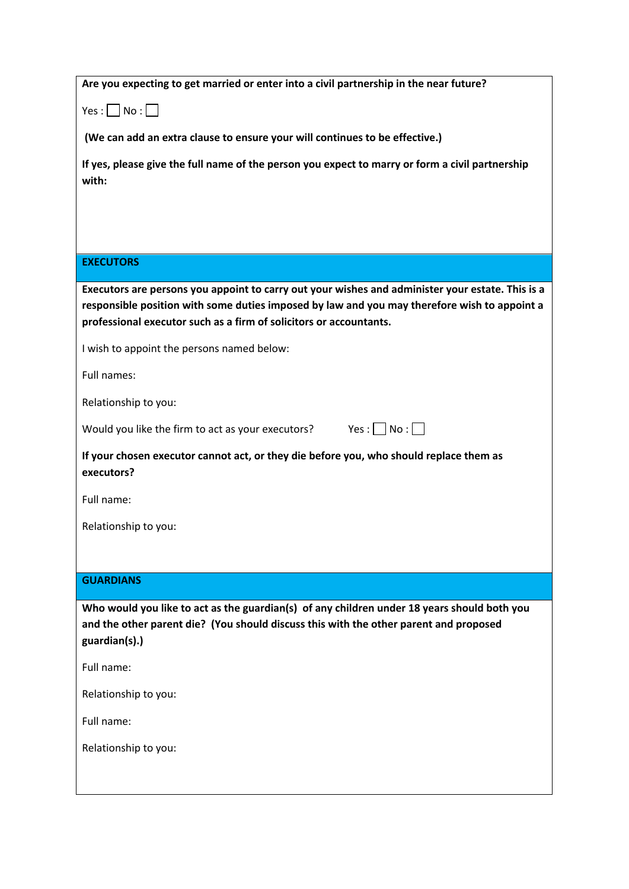| Are you expecting to get married or enter into a civil partnership in the near future? |  |
|----------------------------------------------------------------------------------------|--|
|----------------------------------------------------------------------------------------|--|

 $Yes : \Box No : \Box$ 

**(We can add an extra clause to ensure your will continues to be effective.)**

**If yes, please give the full name of the person you expect to marry or form a civil partnership with:**

## **EXECUTORS**

**Executors are persons you appoint to carry out your wishes and administer your estate. This is a responsible position with some duties imposed by law and you may therefore wish to appoint a professional executor such as a firm of solicitors or accountants.**

I wish to appoint the persons named below:

Full names:

Relationship to you:

Would you like the firm to act as your executors? Yes :  $\Box$  No :  $\Box$ 

**If your chosen executor cannot act, or they die before you, who should replace them as executors?**

Full name:

Relationship to you:

# **GUARDIANS**

**Who would you like to act as the guardian(s) of any children under 18 years should both you and the other parent die? (You should discuss this with the other parent and proposed guardian(s).)**

Full name:

Relationship to you:

Full name:

Relationship to you: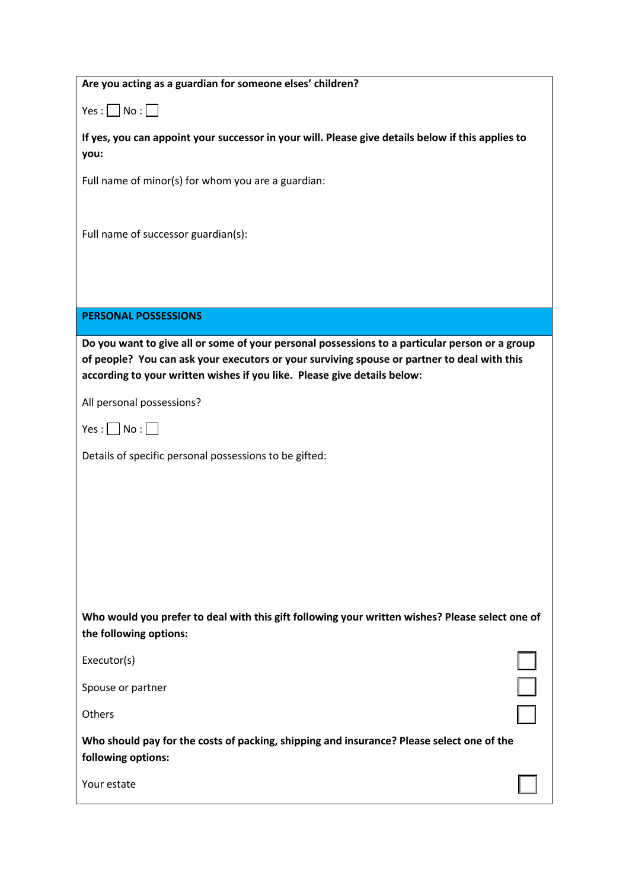| Are you acting as a guardian for someone elses' children?                                                                                                                                                                                                                 |
|---------------------------------------------------------------------------------------------------------------------------------------------------------------------------------------------------------------------------------------------------------------------------|
| $Yes: \Box No: \Box$                                                                                                                                                                                                                                                      |
| If yes, you can appoint your successor in your will. Please give details below if this applies to<br>you:                                                                                                                                                                 |
| Full name of minor(s) for whom you are a guardian:                                                                                                                                                                                                                        |
|                                                                                                                                                                                                                                                                           |
| Full name of successor guardian(s):                                                                                                                                                                                                                                       |
|                                                                                                                                                                                                                                                                           |
| <b>PERSONAL POSSESSIONS</b>                                                                                                                                                                                                                                               |
|                                                                                                                                                                                                                                                                           |
| Do you want to give all or some of your personal possessions to a particular person or a group<br>of people? You can ask your executors or your surviving spouse or partner to deal with this<br>according to your written wishes if you like. Please give details below: |
| All personal possessions?                                                                                                                                                                                                                                                 |
| $Yes: \Box No: \Box$                                                                                                                                                                                                                                                      |
| Details of specific personal possessions to be gifted:                                                                                                                                                                                                                    |
|                                                                                                                                                                                                                                                                           |
|                                                                                                                                                                                                                                                                           |
|                                                                                                                                                                                                                                                                           |
|                                                                                                                                                                                                                                                                           |
| Who would you prefer to deal with this gift following your written wishes? Please select one of<br>the following options:                                                                                                                                                 |
| Executor(s)                                                                                                                                                                                                                                                               |
| Spouse or partner                                                                                                                                                                                                                                                         |
| Others                                                                                                                                                                                                                                                                    |
| Who should pay for the costs of packing, shipping and insurance? Please select one of the<br>following options:                                                                                                                                                           |
| Your estate                                                                                                                                                                                                                                                               |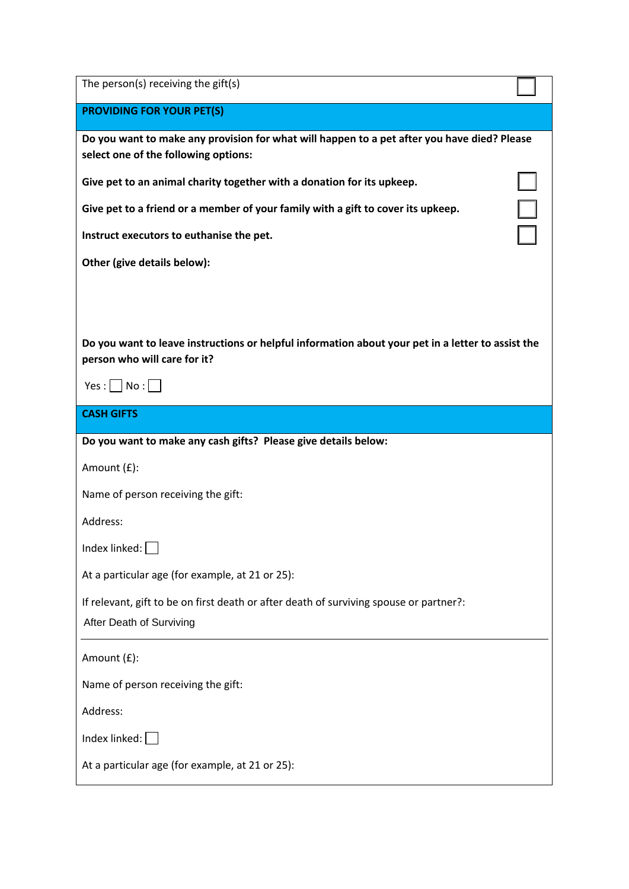| The person(s) receiving the gift(s)                                                               |  |
|---------------------------------------------------------------------------------------------------|--|
| <b>PROVIDING FOR YOUR PET(S)</b>                                                                  |  |
| Do you want to make any provision for what will happen to a pet after you have died? Please       |  |
| select one of the following options:                                                              |  |
| Give pet to an animal charity together with a donation for its upkeep.                            |  |
| Give pet to a friend or a member of your family with a gift to cover its upkeep.                  |  |
| Instruct executors to euthanise the pet.                                                          |  |
| Other (give details below):                                                                       |  |
|                                                                                                   |  |
|                                                                                                   |  |
| Do you want to leave instructions or helpful information about your pet in a letter to assist the |  |
| person who will care for it?                                                                      |  |
| $Yes:$ No : $\Box$                                                                                |  |
| <b>CASH GIFTS</b>                                                                                 |  |
|                                                                                                   |  |
| Do you want to make any cash gifts? Please give details below:                                    |  |
| Amount (£):                                                                                       |  |
| Name of person receiving the gift:                                                                |  |
| Address:                                                                                          |  |
| Index linked: $\Box$                                                                              |  |
| At a particular age (for example, at 21 or 25):                                                   |  |
| If relevant, gift to be on first death or after death of surviving spouse or partner?:            |  |
| After Death of Surviving                                                                          |  |
| Amount (£):                                                                                       |  |
| Name of person receiving the gift:                                                                |  |
| Address:                                                                                          |  |
| Index linked:                                                                                     |  |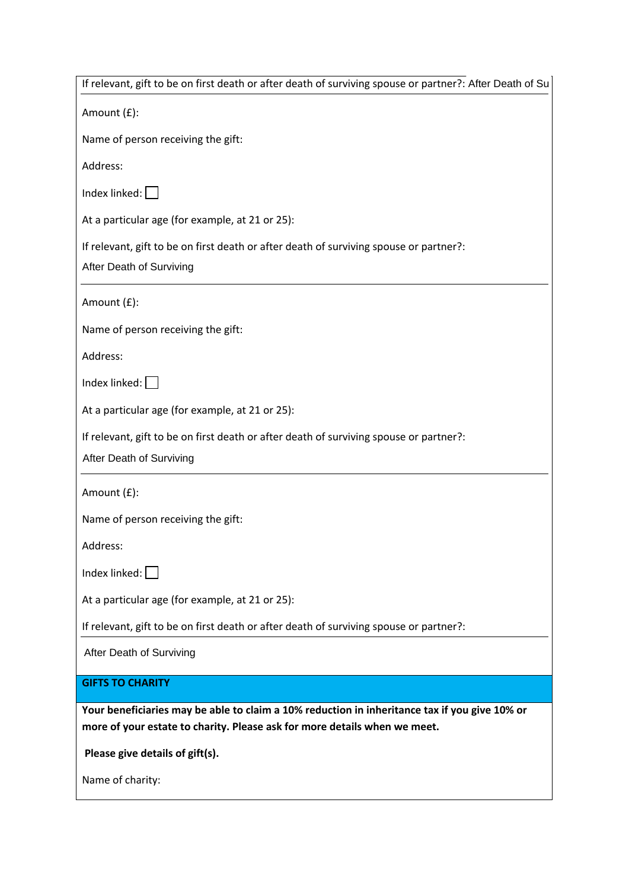| If relevant, gift to be on first death or after death of surviving spouse or partner?: After Death of Su                                                                   |
|----------------------------------------------------------------------------------------------------------------------------------------------------------------------------|
| Amount (£):                                                                                                                                                                |
| Name of person receiving the gift:                                                                                                                                         |
| Address:                                                                                                                                                                   |
| Index linked: $\Box$                                                                                                                                                       |
| At a particular age (for example, at 21 or 25):                                                                                                                            |
| If relevant, gift to be on first death or after death of surviving spouse or partner?:<br>After Death of Surviving                                                         |
| Amount (£):                                                                                                                                                                |
| Name of person receiving the gift:                                                                                                                                         |
| Address:                                                                                                                                                                   |
| Index linked: $\vert$                                                                                                                                                      |
| At a particular age (for example, at 21 or 25):                                                                                                                            |
| If relevant, gift to be on first death or after death of surviving spouse or partner?:<br>After Death of Surviving                                                         |
| Amount (£):                                                                                                                                                                |
| Name of person receiving the gift:                                                                                                                                         |
| Address:                                                                                                                                                                   |
| Index linked:                                                                                                                                                              |
| At a particular age (for example, at 21 or 25):                                                                                                                            |
| If relevant, gift to be on first death or after death of surviving spouse or partner?:                                                                                     |
| After Death of Surviving                                                                                                                                                   |
| <b>GIFTS TO CHARITY</b>                                                                                                                                                    |
| Your beneficiaries may be able to claim a 10% reduction in inheritance tax if you give 10% or<br>more of your estate to charity. Please ask for more details when we meet. |
| Please give details of gift(s).                                                                                                                                            |
| Name of charity:                                                                                                                                                           |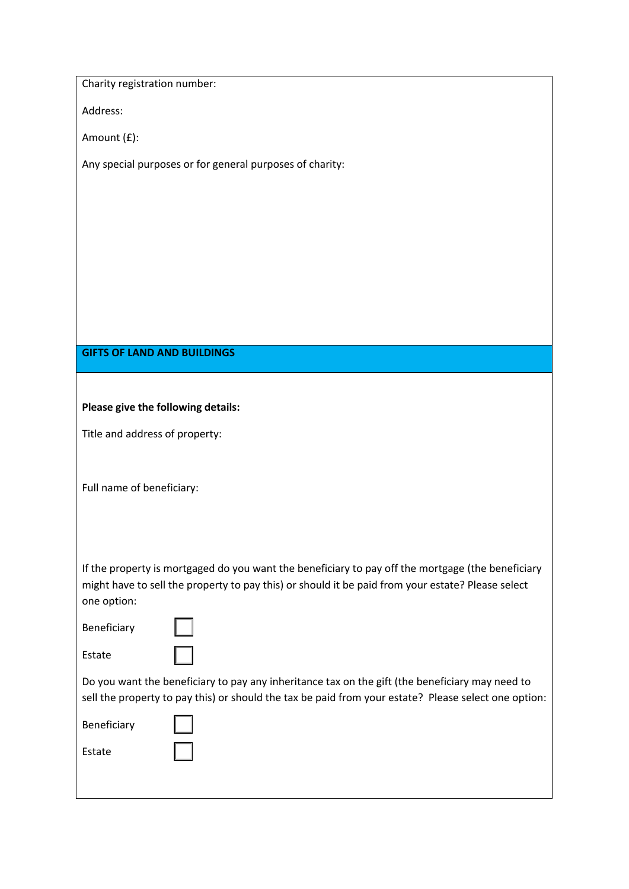Charity registration number:

Address:

Amount (£):

Any special purposes or for general purposes of charity:

#### **GIFTS OF LAND AND BUILDINGS**

#### **Please give the following details:**

Title and address of property:

Full name of beneficiary:

If the property is mortgaged do you want the beneficiary to pay off the mortgage (the beneficiary might have to sell the property to pay this) or should it be paid from your estate? Please select one option:

| Beneficiary |
|-------------|
|             |

Estate

Do you want the beneficiary to pay any inheritance tax on the gift (the beneficiary may need to sell the property to pay this) or should the tax be paid from your estate? Please select one option:

Estate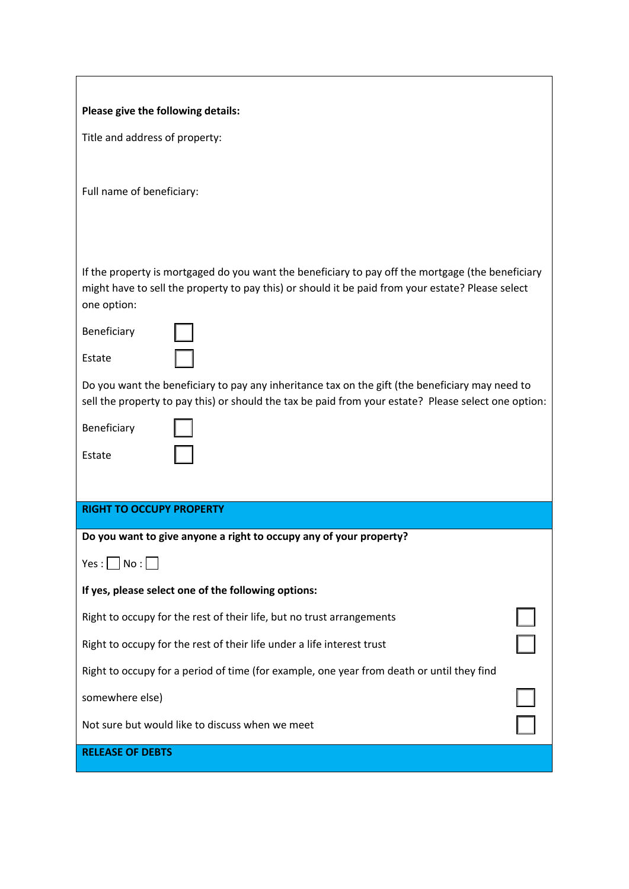| Please give the following details:                                                                                                                                                                                    |  |  |  |
|-----------------------------------------------------------------------------------------------------------------------------------------------------------------------------------------------------------------------|--|--|--|
| Title and address of property:                                                                                                                                                                                        |  |  |  |
|                                                                                                                                                                                                                       |  |  |  |
| Full name of beneficiary:                                                                                                                                                                                             |  |  |  |
|                                                                                                                                                                                                                       |  |  |  |
|                                                                                                                                                                                                                       |  |  |  |
| If the property is mortgaged do you want the beneficiary to pay off the mortgage (the beneficiary<br>might have to sell the property to pay this) or should it be paid from your estate? Please select<br>one option: |  |  |  |
| Beneficiary                                                                                                                                                                                                           |  |  |  |
| Estate                                                                                                                                                                                                                |  |  |  |
| Do you want the beneficiary to pay any inheritance tax on the gift (the beneficiary may need to<br>sell the property to pay this) or should the tax be paid from your estate? Please select one option:               |  |  |  |
| Beneficiary                                                                                                                                                                                                           |  |  |  |
| Estate                                                                                                                                                                                                                |  |  |  |
|                                                                                                                                                                                                                       |  |  |  |
| <b>RIGHT TO OCCUPY PROPERTY</b>                                                                                                                                                                                       |  |  |  |
| Do you want to give anyone a right to occupy any of your property?                                                                                                                                                    |  |  |  |
| $Yes: \Box No:$                                                                                                                                                                                                       |  |  |  |
| If yes, please select one of the following options:                                                                                                                                                                   |  |  |  |
| Right to occupy for the rest of their life, but no trust arrangements                                                                                                                                                 |  |  |  |
| Right to occupy for the rest of their life under a life interest trust                                                                                                                                                |  |  |  |
| Right to occupy for a period of time (for example, one year from death or until they find                                                                                                                             |  |  |  |
| somewhere else)                                                                                                                                                                                                       |  |  |  |
| Not sure but would like to discuss when we meet                                                                                                                                                                       |  |  |  |
| <b>RELEASE OF DEBTS</b>                                                                                                                                                                                               |  |  |  |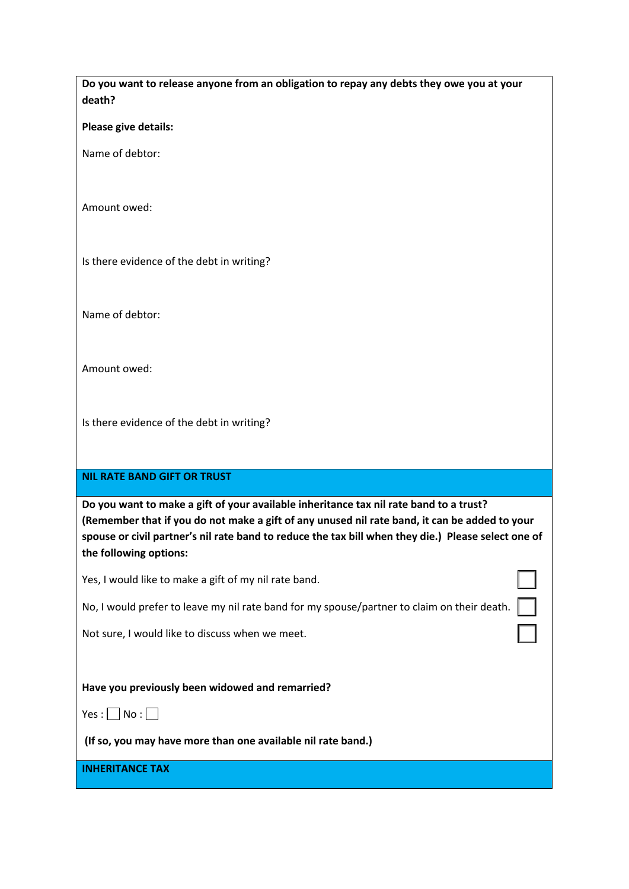| Do you want to release anyone from an obligation to repay any debts they owe you at your |  |
|------------------------------------------------------------------------------------------|--|
| death?                                                                                   |  |

**Please give details:**

Name of debtor:

Amount owed:

Is there evidence of the debt in writing?

Name of debtor:

Amount owed:

Is there evidence of the debt in writing?

### **NIL RATE BAND GIFT OR TRUST**

**Do you want to make a gift of your available inheritance tax nil rate band to a trust? (Remember that if you do not make a gift of any unused nil rate band, it can be added to your spouse or civil partner's nil rate band to reduce the tax bill when they die.) Please select one of the following options:**

Yes, I would like to make a gift of my nil rate band.

No, I would prefer to leave my nil rate band for my spouse/partner to claim on their death.

Not sure, I would like to discuss when we meet.

**Have you previously been widowed and remarried?** 

 $Yes : \Box No : \Box$ 

**(If so, you may have more than one available nil rate band.)**

**INHERITANCE TAX**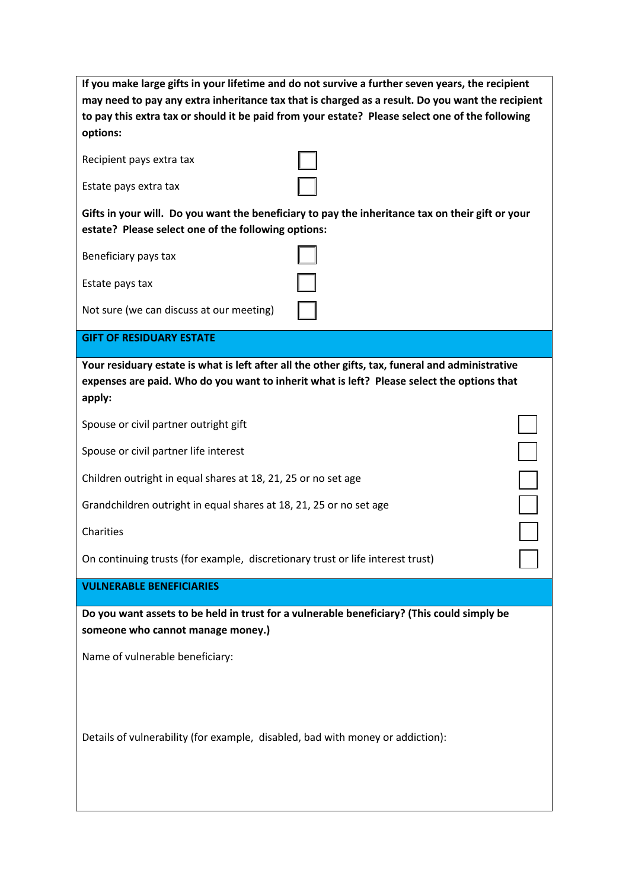| If you make large gifts in your lifetime and do not survive a further seven years, the recipient<br>may need to pay any extra inheritance tax that is charged as a result. Do you want the recipient<br>to pay this extra tax or should it be paid from your estate? Please select one of the following<br>options: |  |  |  |
|---------------------------------------------------------------------------------------------------------------------------------------------------------------------------------------------------------------------------------------------------------------------------------------------------------------------|--|--|--|
| Recipient pays extra tax                                                                                                                                                                                                                                                                                            |  |  |  |
| Estate pays extra tax                                                                                                                                                                                                                                                                                               |  |  |  |
| Gifts in your will. Do you want the beneficiary to pay the inheritance tax on their gift or your<br>estate? Please select one of the following options:                                                                                                                                                             |  |  |  |
| Beneficiary pays tax                                                                                                                                                                                                                                                                                                |  |  |  |
| Estate pays tax                                                                                                                                                                                                                                                                                                     |  |  |  |
| Not sure (we can discuss at our meeting)                                                                                                                                                                                                                                                                            |  |  |  |
| <b>GIFT OF RESIDUARY ESTATE</b>                                                                                                                                                                                                                                                                                     |  |  |  |
| Your residuary estate is what is left after all the other gifts, tax, funeral and administrative<br>expenses are paid. Who do you want to inherit what is left? Please select the options that<br>apply:                                                                                                            |  |  |  |
| Spouse or civil partner outright gift                                                                                                                                                                                                                                                                               |  |  |  |
| Spouse or civil partner life interest                                                                                                                                                                                                                                                                               |  |  |  |
| Children outright in equal shares at 18, 21, 25 or no set age                                                                                                                                                                                                                                                       |  |  |  |
| Grandchildren outright in equal shares at 18, 21, 25 or no set age                                                                                                                                                                                                                                                  |  |  |  |
| Charities                                                                                                                                                                                                                                                                                                           |  |  |  |
| On continuing trusts (for example, discretionary trust or life interest trust)                                                                                                                                                                                                                                      |  |  |  |
| <b>VULNERABLE BENEFICIARIES</b>                                                                                                                                                                                                                                                                                     |  |  |  |
| Do you want assets to be held in trust for a vulnerable beneficiary? (This could simply be<br>someone who cannot manage money.)                                                                                                                                                                                     |  |  |  |
| Name of vulnerable beneficiary:                                                                                                                                                                                                                                                                                     |  |  |  |
| Details of vulnerability (for example, disabled, bad with money or addiction):                                                                                                                                                                                                                                      |  |  |  |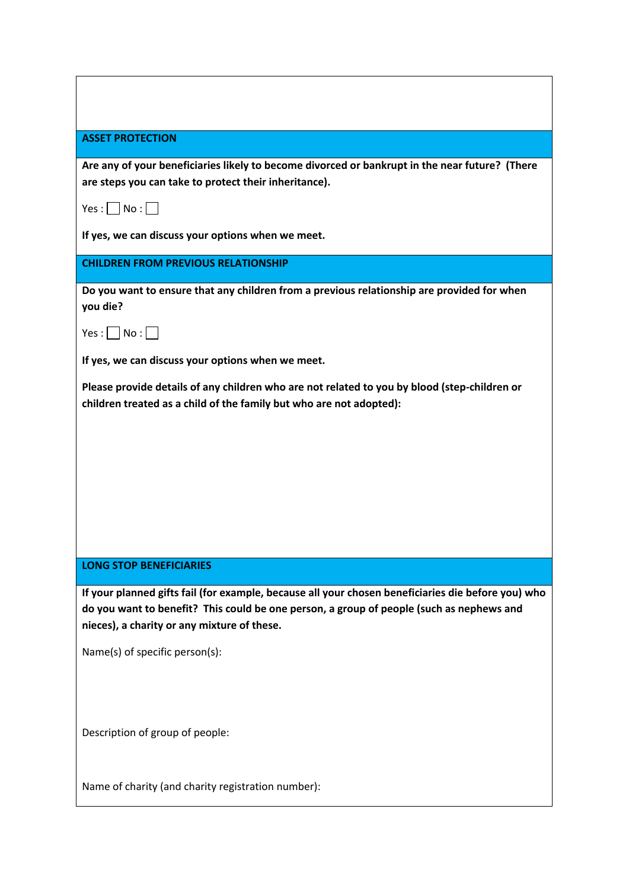| <b>ASSET PROTECTION</b> |  |  |
|-------------------------|--|--|
|                         |  |  |

**Are any of your beneficiaries likely to become divorced or bankrupt in the near future? (There are steps you can take to protect their inheritance).**

 $Yes : \Box No : \Box$ 

**If yes, we can discuss your options when we meet.**

**CHILDREN FROM PREVIOUS RELATIONSHIP**

**Do you want to ensure that any children from a previous relationship are provided for when you die?**

 $Yes : \Box No : \Box$ 

**If yes, we can discuss your options when we meet.**

**Please provide details of any children who are not related to you by blood (step-children or children treated as a child of the family but who are not adopted):**

#### **LONG STOP BENEFICIARIES**

**If your planned gifts fail (for example, because all your chosen beneficiaries die before you) who do you want to benefit? This could be one person, a group of people (such as nephews and nieces), a charity or any mixture of these.**

Name(s) of specific person(s):

Description of group of people:

Name of charity (and charity registration number):